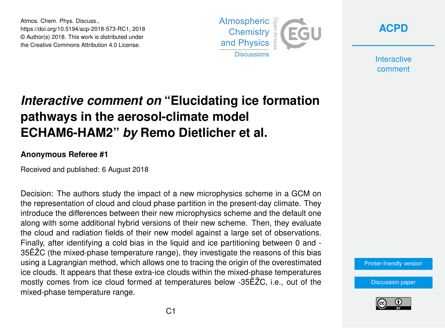Atmos. Chem. Phys. Discuss., https://doi.org/10.5194/acp-2018-573-RC1, 2018 © Author(s) 2018. This work is distributed under the Creative Commons Attribution 4.0 License.



**[ACPD](https://www.atmos-chem-phys-discuss.net/)**

**Interactive** comment

# *Interactive comment on* **"Elucidating ice formation pathways in the aerosol-climate model ECHAM6-HAM2"** *by* **Remo Dietlicher et al.**

#### **Anonymous Referee #1**

Received and published: 6 August 2018

Decision: The authors study the impact of a new microphysics scheme in a GCM on the representation of cloud and cloud phase partition in the present-day climate. They introduce the differences between their new microphysics scheme and the default one along with some additional hybrid versions of their new scheme. Then, they evaluate the cloud and radiation fields of their new model against a large set of observations. Finally, after identifying a cold bias in the liquid and ice partitioning between 0 and - 35ËŽC (the mixed-phase temperature range), they investigate the reasons of this bias using a Lagrangian method, which allows one to tracing the origin of the overestimated ice clouds. It appears that these extra-ice clouds within the mixed-phase temperatures mostly comes from ice cloud formed at temperatures below -35ËŽC, i.e., out of the mixed-phase temperature range.

[Printer-friendly version](https://www.atmos-chem-phys-discuss.net/acp-2018-573/acp-2018-573-RC1-print.pdf)

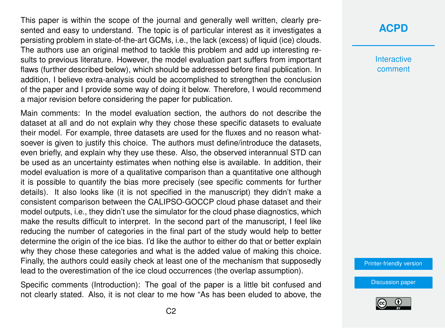This paper is within the scope of the journal and generally well written, clearly presented and easy to understand. The topic is of particular interest as it investigates a persisting problem in state-of-the-art GCMs, i.e., the lack (excess) of liquid (ice) clouds. The authors use an original method to tackle this problem and add up interesting results to previous literature. However, the model evaluation part suffers from important flaws (further described below), which should be addressed before final publication. In addition, I believe extra-analysis could be accomplished to strengthen the conclusion of the paper and I provide some way of doing it below. Therefore, I would recommend a major revision before considering the paper for publication.

Main comments: In the model evaluation section, the authors do not describe the dataset at all and do not explain why they chose these specific datasets to evaluate their model. For example, three datasets are used for the fluxes and no reason whatsoever is given to justify this choice. The authors must define/introduce the datasets, even briefly, and explain why they use these. Also, the observed interannual STD can be used as an uncertainty estimates when nothing else is available. In addition, their model evaluation is more of a qualitative comparison than a quantitative one although it is possible to quantify the bias more precisely (see specific comments for further details). It also looks like (it is not specified in the manuscript) they didn't make a consistent comparison between the CALIPSO-GOCCP cloud phase dataset and their model outputs, i.e., they didn't use the simulator for the cloud phase diagnostics, which make the results difficult to interpret. In the second part of the manuscript, I feel like reducing the number of categories in the final part of the study would help to better determine the origin of the ice bias. I'd like the author to either do that or better explain why they chose these categories and what is the added value of making this choice. Finally, the authors could easily check at least one of the mechanism that supposedly lead to the overestimation of the ice cloud occurrences (the overlap assumption).

Specific comments (Introduction): The goal of the paper is a little bit confused and not clearly stated. Also, it is not clear to me how "As has been eluded to above, the

### **[ACPD](https://www.atmos-chem-phys-discuss.net/)**

**Interactive** comment

[Printer-friendly version](https://www.atmos-chem-phys-discuss.net/acp-2018-573/acp-2018-573-RC1-print.pdf)

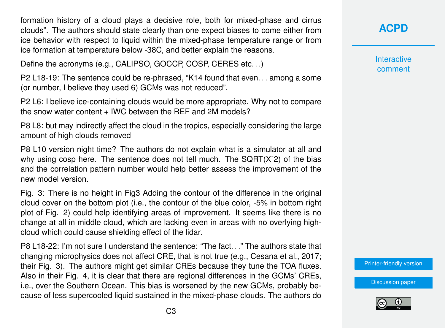formation history of a cloud plays a decisive role, both for mixed-phase and cirrus clouds". The authors should state clearly than one expect biases to come either from ice behavior with respect to liquid within the mixed-phase temperature range or from ice formation at temperature below -38C, and better explain the reasons.

Define the acronyms (e.g., CALIPSO, GOCCP, COSP, CERES etc. . .)

P2 L18-19: The sentence could be re-phrased, "K14 found that even. . . among a some (or number, I believe they used 6) GCMs was not reduced".

P2 L6: I believe ice-containing clouds would be more appropriate. Why not to compare the snow water content + IWC between the REF and 2M models?

P8 L8: but may indirectly affect the cloud in the tropics, especially considering the large amount of high clouds removed

P8 L10 version night time? The authors do not explain what is a simulator at all and why using cosp here. The sentence does not tell much. The  $\text{SQRT}(X^2)$  of the bias and the correlation pattern number would help better assess the improvement of the new model version.

Fig. 3: There is no height in Fig3 Adding the contour of the difference in the original cloud cover on the bottom plot (i.e., the contour of the blue color, -5% in bottom right plot of Fig. 2) could help identifying areas of improvement. It seems like there is no change at all in middle cloud, which are lacking even in areas with no overlying highcloud which could cause shielding effect of the lidar.

P8 L18-22: I'm not sure I understand the sentence: "The fact. . ." The authors state that changing microphysics does not affect CRE, that is not true (e.g., Cesana et al., 2017; their Fig. 3). The authors might get similar CREs because they tune the TOA fluxes. Also in their Fig. 4, it is clear that there are regional differences in the GCMs' CREs, i.e., over the Southern Ocean. This bias is worsened by the new GCMs, probably because of less supercooled liquid sustained in the mixed-phase clouds. The authors do **[ACPD](https://www.atmos-chem-phys-discuss.net/)**

**Interactive** comment

[Printer-friendly version](https://www.atmos-chem-phys-discuss.net/acp-2018-573/acp-2018-573-RC1-print.pdf)

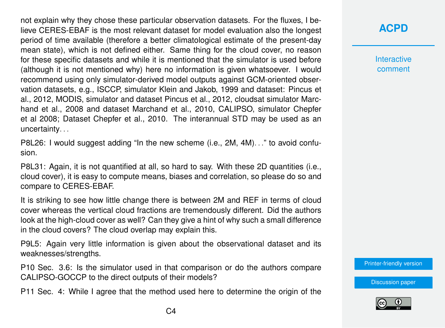not explain why they chose these particular observation datasets. For the fluxes, I believe CERES-EBAF is the most relevant dataset for model evaluation also the longest period of time available (therefore a better climatological estimate of the present-day mean state), which is not defined either. Same thing for the cloud cover, no reason for these specific datasets and while it is mentioned that the simulator is used before (although it is not mentioned why) here no information is given whatsoever. I would recommend using only simulator-derived model outputs against GCM-oriented observation datasets, e.g., ISCCP, simulator Klein and Jakob, 1999 and dataset: Pincus et al., 2012, MODIS, simulator and dataset Pincus et al., 2012, cloudsat simulator Marchand et al., 2008 and dataset Marchand et al., 2010, CALIPSO, simulator Chepfer et al 2008; Dataset Chepfer et al., 2010. The interannual STD may be used as an uncertainty. . .

P8L26: I would suggest adding "In the new scheme (i.e., 2M, 4M). . ." to avoid confusion.

P8L31: Again, it is not quantified at all, so hard to say. With these 2D quantities (i.e., cloud cover), it is easy to compute means, biases and correlation, so please do so and compare to CERES-EBAF.

It is striking to see how little change there is between 2M and REF in terms of cloud cover whereas the vertical cloud fractions are tremendously different. Did the authors look at the high-cloud cover as well? Can they give a hint of why such a small difference in the cloud covers? The cloud overlap may explain this.

P9L5: Again very little information is given about the observational dataset and its weaknesses/strengths.

P10 Sec. 3.6: Is the simulator used in that comparison or do the authors compare CALIPSO-GOCCP to the direct outputs of their models?

P11 Sec. 4: While I agree that the method used here to determine the origin of the

## **[ACPD](https://www.atmos-chem-phys-discuss.net/)**

**Interactive** comment

[Printer-friendly version](https://www.atmos-chem-phys-discuss.net/acp-2018-573/acp-2018-573-RC1-print.pdf)

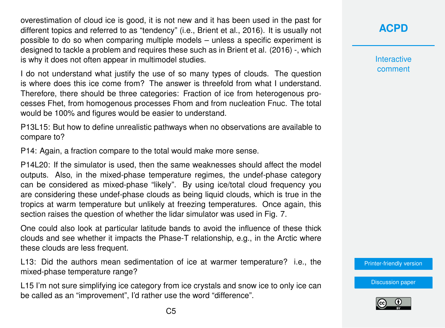overestimation of cloud ice is good, it is not new and it has been used in the past for different topics and referred to as "tendency" (i.e., Brient et al., 2016). It is usually not possible to do so when comparing multiple models – unless a specific experiment is designed to tackle a problem and requires these such as in Brient et al. (2016) -, which is why it does not often appear in multimodel studies.

I do not understand what justify the use of so many types of clouds. The question is where does this ice come from? The answer is threefold from what I understand. Therefore, there should be three categories: Fraction of ice from heterogenous processes Fhet, from homogenous processes Fhom and from nucleation Fnuc. The total would be 100% and figures would be easier to understand.

P13L15: But how to define unrealistic pathways when no observations are available to compare to?

P14: Again, a fraction compare to the total would make more sense.

P14L20: If the simulator is used, then the same weaknesses should affect the model outputs. Also, in the mixed-phase temperature regimes, the undef-phase category can be considered as mixed-phase "likely". By using ice/total cloud frequency you are considering these undef-phase clouds as being liquid clouds, which is true in the tropics at warm temperature but unlikely at freezing temperatures. Once again, this section raises the question of whether the lidar simulator was used in Fig. 7.

One could also look at particular latitude bands to avoid the influence of these thick clouds and see whether it impacts the Phase-T relationship, e.g., in the Arctic where these clouds are less frequent.

L13: Did the authors mean sedimentation of ice at warmer temperature? i.e., the mixed-phase temperature range?

L15 I'm not sure simplifying ice category from ice crystals and snow ice to only ice can be called as an "improvement", I'd rather use the word "difference".

**[ACPD](https://www.atmos-chem-phys-discuss.net/)**

**Interactive** comment

[Printer-friendly version](https://www.atmos-chem-phys-discuss.net/acp-2018-573/acp-2018-573-RC1-print.pdf)

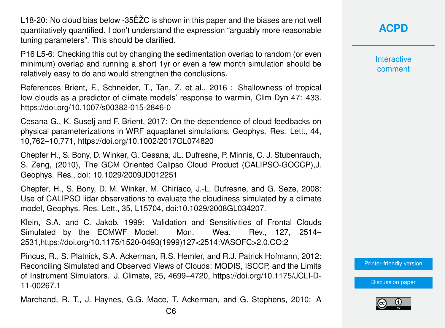L18-20: No cloud bias below -35ËŽC is shown in this paper and the biases are not well quantitatively quantified. I don't understand the expression "arguably more reasonable tuning parameters". This should be clarified.

P16 L5-6: Checking this out by changing the sedimentation overlap to random (or even minimum) overlap and running a short 1yr or even a few month simulation should be relatively easy to do and would strengthen the conclusions.

References Brient, F., Schneider, T., Tan, Z. et al., 2016 : Shallowness of tropical low clouds as a predictor of climate models' response to warmin, Clim Dyn 47: 433. https://doi.org/10.1007/s00382-015-2846-0

Cesana G., K. Suselj and F. Brient, 2017: On the dependence of cloud feedbacks on physical parameterizations in WRF aquaplanet simulations, Geophys. Res. Lett., 44, 10,762–10,771, https://doi.org/10.1002/2017GL074820

Chepfer H., S. Bony, D. Winker, G. Cesana, JL. Dufresne, P. Minnis, C. J. Stubenrauch, S. Zeng, (2010), The GCM Oriented Calipso Cloud Product (CALIPSO-GOCCP),J. Geophys. Res., doi: 10.1029/2009JD012251

Chepfer, H., S. Bony, D. M. Winker, M. Chiriaco, J.-L. Dufresne, and G. Seze, 2008: Use of CALIPSO lidar observations to evaluate the cloudiness simulated by a climate model, Geophys. Res. Lett., 35, L15704, doi:10.1029/2008GL034207.

Klein, S.A. and C. Jakob, 1999: Validation and Sensitivities of Frontal Clouds Simulated by the ECMWF Model. Mon. Wea. Rev., 127, 2514– 2531,https://doi.org/10.1175/1520-0493(1999)127<2514:VASOFC>2.0.CO;2

Pincus, R., S. Platnick, S.A. Ackerman, R.S. Hemler, and R.J. Patrick Hofmann, 2012: Reconciling Simulated and Observed Views of Clouds: MODIS, ISCCP, and the Limits of Instrument Simulators. J. Climate, 25, 4699–4720, https://doi.org/10.1175/JCLI-D-11-00267.1

Marchand, R. T., J. Haynes, G.G. Mace, T. Ackerman, and G. Stephens, 2010: A

**Interactive** comment

[Printer-friendly version](https://www.atmos-chem-phys-discuss.net/acp-2018-573/acp-2018-573-RC1-print.pdf)